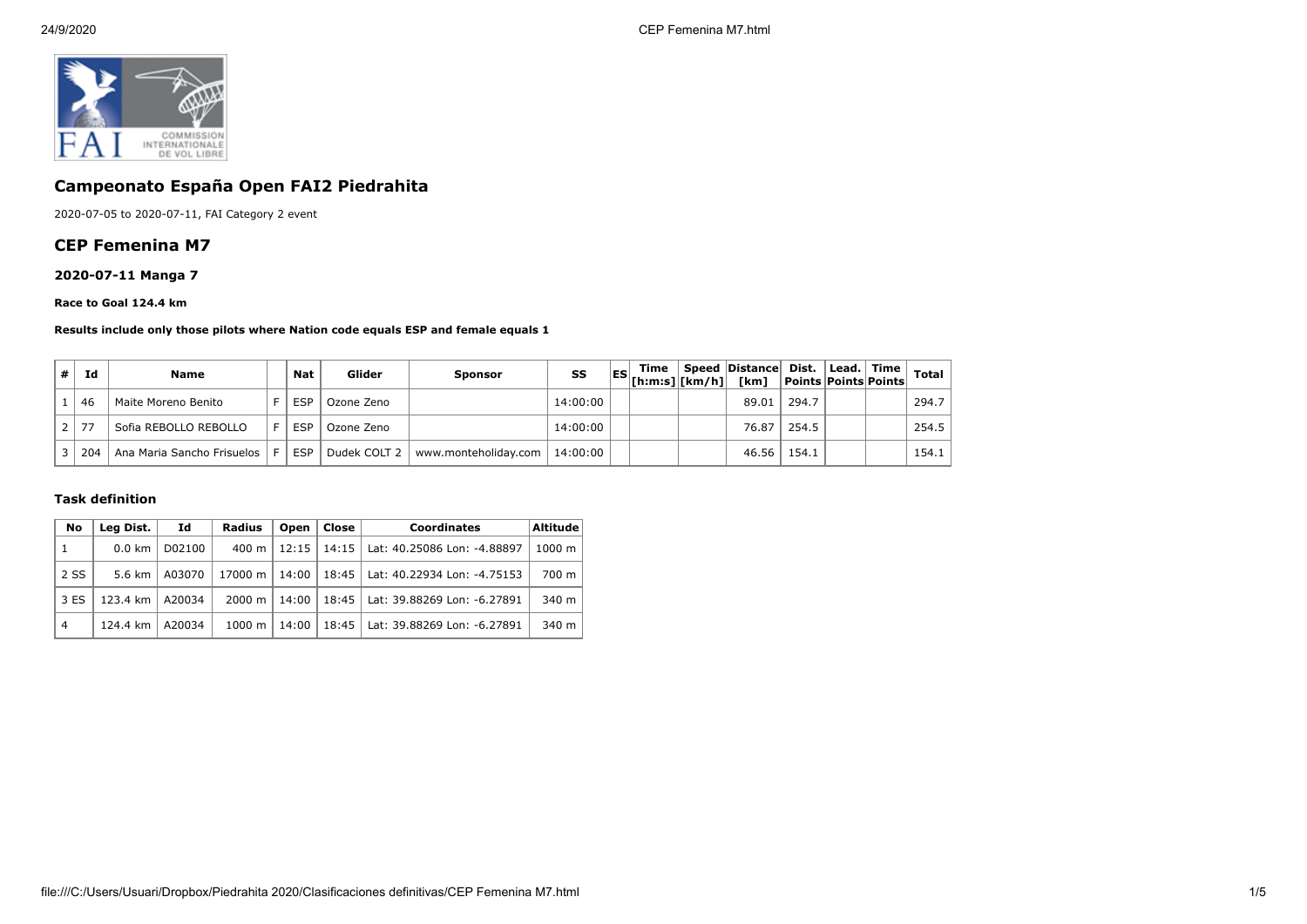

# **Campeonato España Open FAI2 Piedrahita**

2020-07-05 to 2020-07-11, FAI Category 2 event

## **CEP Femenina M7**

## **2020-07-11 Manga 7**

#### **Race to Goal 124.4 km**

#### **Results include only those pilots where Nation code equals ESP and female equals 1**

| Id                   | <b>Name</b>                | <b>Nat</b> | Glider       | Sponsor              | SS       | Time<br>$\begin{bmatrix} \text{ES} \\ \text{[h:m:s]} \end{bmatrix}$ $\begin{bmatrix} \text{km/h} \\ \text{km/h} \end{bmatrix}$ | Speed Distance Dist.<br>「km] | Points Points Points | Lead.   Time | <b>Total</b> |
|----------------------|----------------------------|------------|--------------|----------------------|----------|--------------------------------------------------------------------------------------------------------------------------------|------------------------------|----------------------|--------------|--------------|
| 46                   | Maite Moreno Benito        | <b>ESF</b> | Ozone Zeno   |                      | 14:00:00 |                                                                                                                                | 89.01                        | 294.7                |              | 294.7        |
| 77<br>2 <sup>1</sup> | Sofia REBOLLO REBOLLO      | <b>ESP</b> | Ozone Zeno   |                      | 14:00:00 |                                                                                                                                | 76.87                        | 254.5                |              | 254.5        |
| 204                  | Ana Maria Sancho Frisuelos | <b>ESP</b> | Dudek COLT 2 | www.monteholiday.com | 14:00:00 |                                                                                                                                | 46.56                        | 154.1                |              | 154.1        |

### **Task definition**

| No             | Leg Dist.        | Id     | Radius             | Open  | Close | <b>Coordinates</b>          | <b>Altitude</b> |
|----------------|------------------|--------|--------------------|-------|-------|-----------------------------|-----------------|
| -1             | $0.0 \text{ km}$ | D02100 | $400 \; \text{m}$  | 12:15 | 14:15 | Lat: 40.25086 Lon: -4.88897 | 1000 m          |
| 2 SS           | 5.6 km           | A03070 | 17000 m            | 14:00 | 18:45 | Lat: 40.22934 Lon: -4.75153 | 700 m           |
| 3 ES           | 123.4 km         | A20034 | $2000 \; \text{m}$ | 14:00 | 18:45 | Lat: 39.88269 Lon: -6.27891 | $340 \text{ m}$ |
| $\overline{4}$ | 124.4 km         | A20034 | 1000 m             | 14:00 | 18:45 | Lat: 39.88269 Lon: -6.27891 | $340 \text{ m}$ |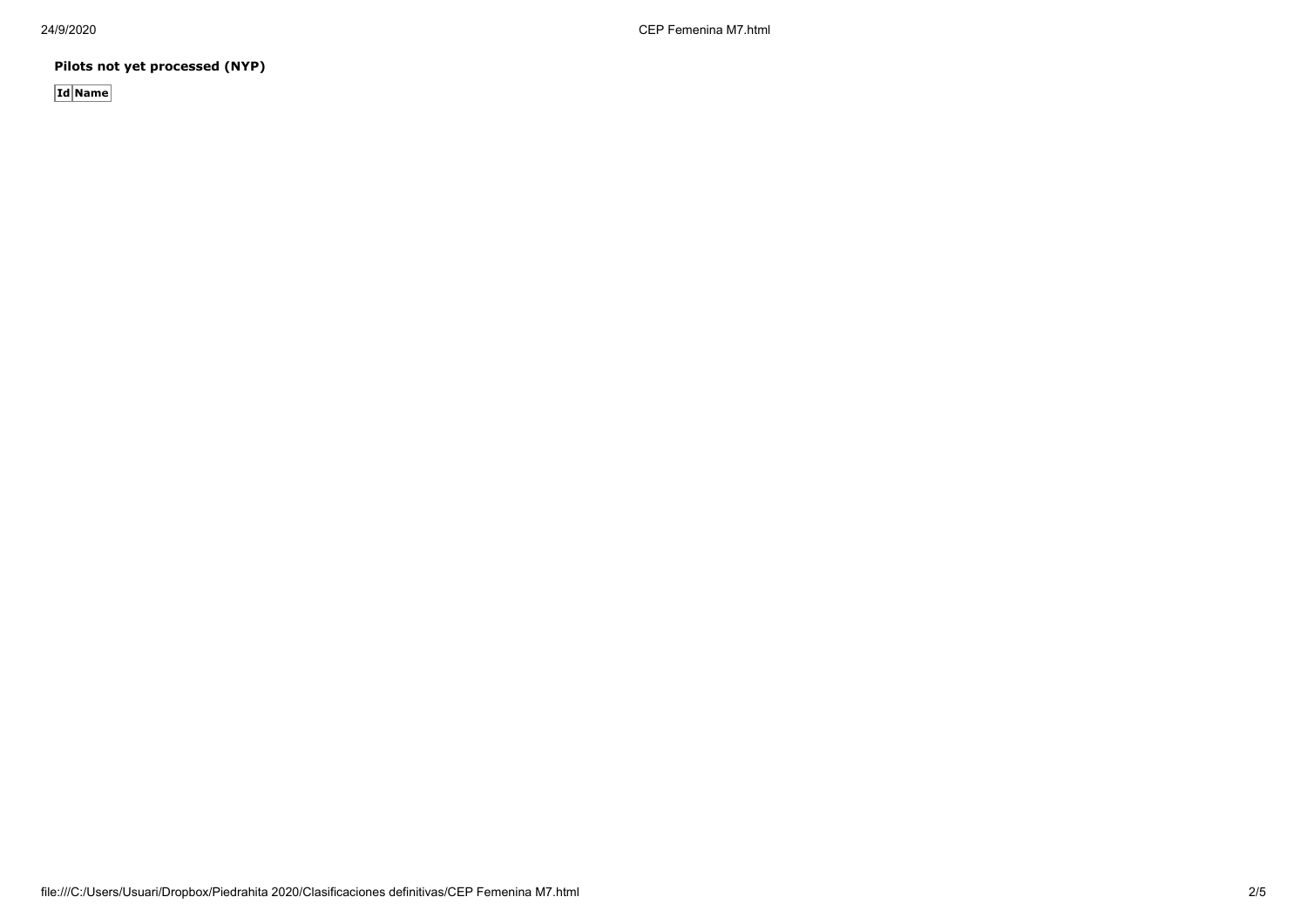24/9/2020 CEP Femenina M7.html

**Pilots not yet processed (NYP)**

**Id Name**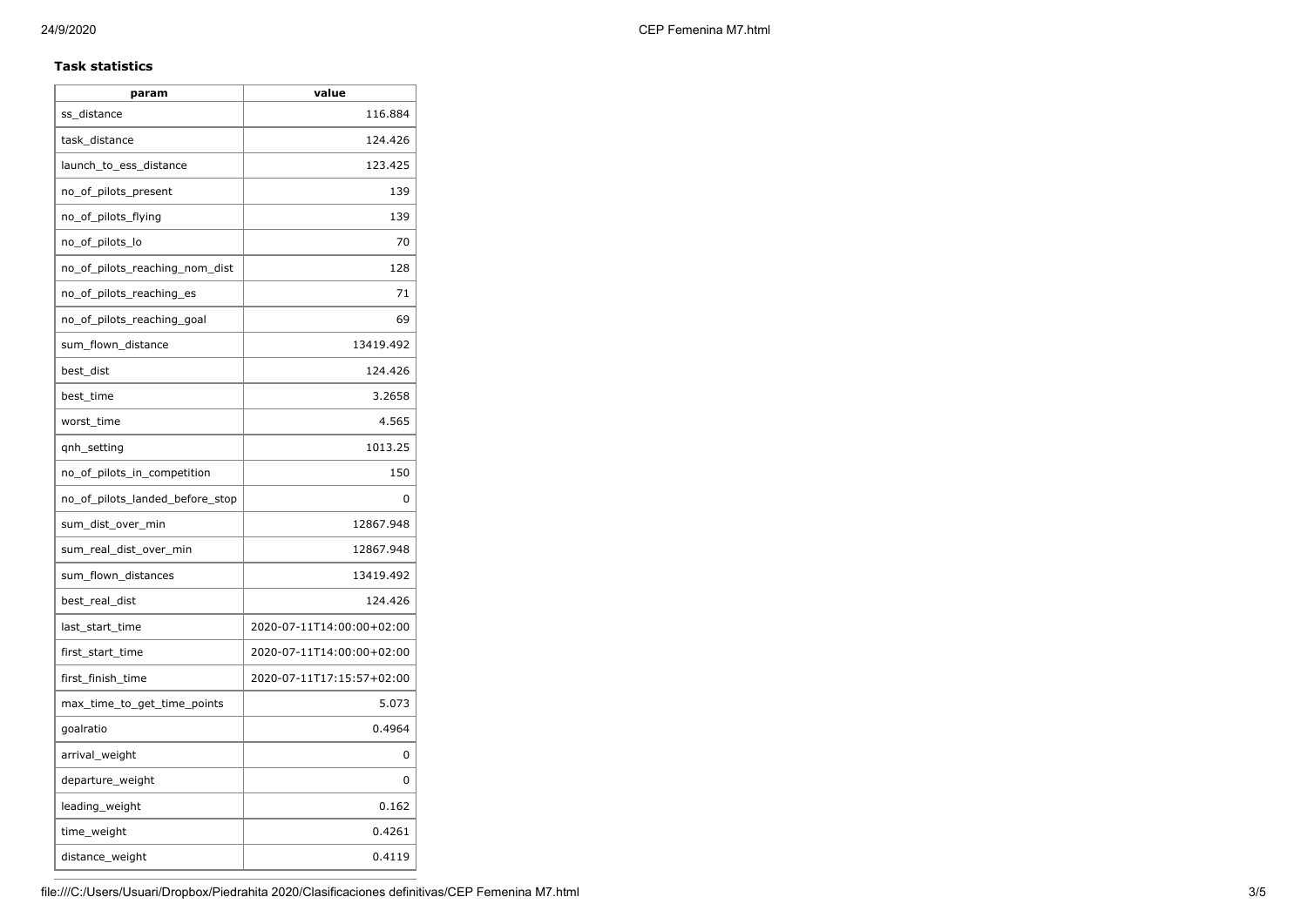### **Task statistics**

| param                           | value                     |
|---------------------------------|---------------------------|
| ss distance                     | 116.884                   |
| task_distance                   | 124.426                   |
| launch_to_ess_distance          | 123.425                   |
| no_of_pilots_present            | 139                       |
| no_of_pilots_flying             | 139                       |
| no_of_pilots_lo                 | 70                        |
| no_of_pilots_reaching_nom_dist  | 128                       |
| no_of_pilots_reaching_es        | 71                        |
| no_of_pilots_reaching_goal      | 69                        |
| sum_flown_distance              | 13419.492                 |
| best_dist                       | 124.426                   |
| best time                       | 3.2658                    |
| worst time                      | 4.565                     |
| qnh_setting                     | 1013.25                   |
| no_of_pilots_in_competition     | 150                       |
| no_of_pilots_landed_before_stop | 0                         |
| sum_dist_over_min               | 12867.948                 |
| sum_real_dist_over_min          | 12867.948                 |
| sum_flown_distances             | 13419.492                 |
| best_real_dist                  | 124.426                   |
| last_start_time                 | 2020-07-11T14:00:00+02:00 |
| first_start_time                | 2020-07-11T14:00:00+02:00 |
| first_finish_time               | 2020-07-11T17:15:57+02:00 |
| max_time_to_get_time_points     | 5.073                     |
| goalratio                       | 0.4964                    |
| arrival_weight                  | 0                         |
| departure_weight                | 0                         |
| leading_weight                  | 0.162                     |
| time_weight                     | 0.4261                    |
| distance_weight                 | 0.4119                    |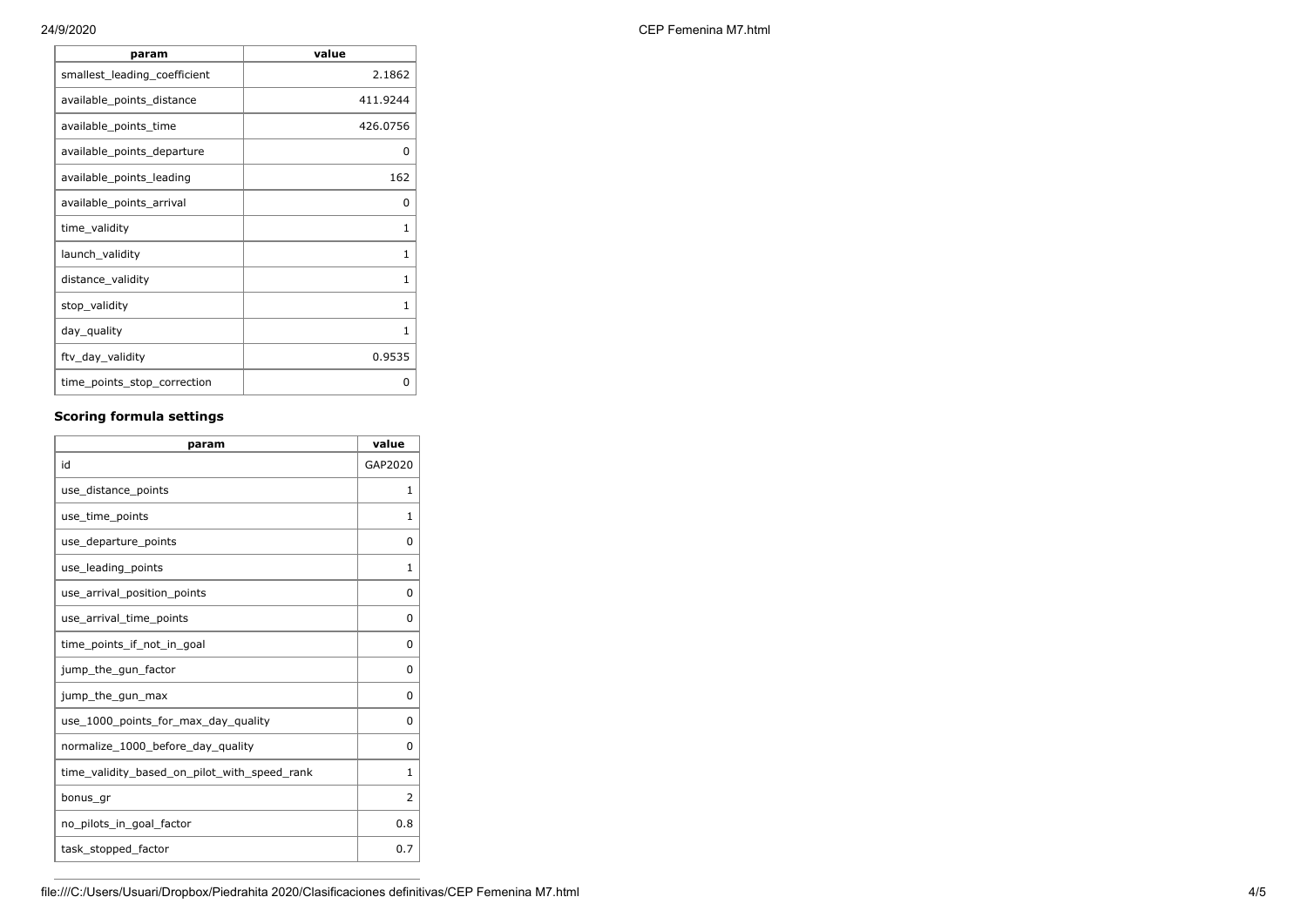| param                        | value        |
|------------------------------|--------------|
| smallest_leading_coefficient | 2.1862       |
| available_points_distance    | 411.9244     |
| available_points_time        | 426.0756     |
| available_points_departure   | O            |
| available points leading     | 162          |
| available_points_arrival     | O            |
| time_validity                | 1            |
| launch_validity              | $\mathbf{1}$ |
| distance_validity            | 1            |
| stop_validity                | 1            |
| day_quality                  | 1            |
| ftv_day_validity             | 0.9535       |
| time_points_stop_correction  | O            |

# **Scoring formula settings**

| param                                        | value        |
|----------------------------------------------|--------------|
| id                                           | GAP2020      |
| use_distance_points                          | 1            |
| use_time_points                              | 1            |
| use_departure_points                         | $\Omega$     |
| use_leading_points                           | 1            |
| use_arrival_position_points                  | 0            |
| use_arrival_time_points                      | 0            |
| time points if not in goal                   | $\Omega$     |
| jump_the_gun_factor                          | $\Omega$     |
| jump_the_gun_max                             | 0            |
| use_1000_points_for_max_day_quality          | 0            |
| normalize_1000_before_day_quality            | $\Omega$     |
| time_validity_based_on_pilot_with_speed_rank | $\mathbf{1}$ |
| bonus_gr                                     | 2            |
| no pilots in goal factor                     | 0.8          |
| task_stopped_factor                          | 0.7          |